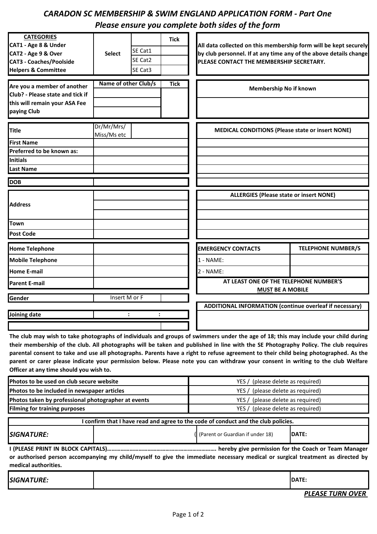## *CARADON SC MEMBERSHIP & SWIM ENGLAND APPLICATION FORM - Part One Please ensure you complete both sides of the form*

| <b>CATEGORIES</b>                           |                      |         | <b>Tick</b> |                                                                                                                                       |                           |
|---------------------------------------------|----------------------|---------|-------------|---------------------------------------------------------------------------------------------------------------------------------------|---------------------------|
| CAT1 - Age 8 & Under<br>CAT2 - Age 9 & Over | <b>Select</b>        | SE Cat1 |             | All data collected on this membership form will be kept securely<br>by club personnel. If at any time any of the above details change |                           |
| <b>CAT3 - Coaches/Poolside</b>              |                      | SE Cat2 |             | PLEASE CONTACT THE MEMBERSHIP SECRETARY.                                                                                              |                           |
| <b>Helpers &amp; Committee</b>              |                      | SE Cat3 |             |                                                                                                                                       |                           |
|                                             |                      |         |             |                                                                                                                                       |                           |
| Are you a member of another                 | Name of other Club/s |         | <b>Tick</b> | Membership No if known                                                                                                                |                           |
| Club? - Please state and tick if            |                      |         |             |                                                                                                                                       |                           |
| this will remain your ASA Fee               |                      |         |             |                                                                                                                                       |                           |
| paying Club                                 |                      |         |             |                                                                                                                                       |                           |
|                                             | Dr/Mr/Mrs/           |         |             |                                                                                                                                       |                           |
| <b>Title</b>                                | Miss/Ms etc          |         |             | <b>MEDICAL CONDITIONS (Please state or insert NONE)</b>                                                                               |                           |
| <b>First Name</b>                           |                      |         |             |                                                                                                                                       |                           |
| Preferred to be known as:                   |                      |         |             |                                                                                                                                       |                           |
| <b>Initials</b>                             |                      |         |             |                                                                                                                                       |                           |
| <b>Last Name</b>                            |                      |         |             |                                                                                                                                       |                           |
| <b>DOB</b>                                  |                      |         |             |                                                                                                                                       |                           |
|                                             |                      |         |             | <b>ALLERGIES (Please state or insert NONE)</b>                                                                                        |                           |
| <b>Address</b>                              |                      |         |             |                                                                                                                                       |                           |
|                                             |                      |         |             |                                                                                                                                       |                           |
| <b>Town</b>                                 |                      |         |             |                                                                                                                                       |                           |
| <b>Post Code</b>                            |                      |         |             |                                                                                                                                       |                           |
| <b>Home Telephone</b>                       |                      |         |             | <b>EMERGENCY CONTACTS</b>                                                                                                             | <b>TELEPHONE NUMBER/S</b> |
| <b>Mobile Telephone</b>                     |                      |         |             | $1 - NAME$ :                                                                                                                          |                           |
| <b>Home E-mail</b>                          |                      |         |             | $2 - NAME:$                                                                                                                           |                           |
| <b>Parent E-mail</b>                        |                      |         |             | AT LEAST ONE OF THE TELEPHONE NUMBER'S                                                                                                |                           |
|                                             |                      |         |             | <b>MUST BE A MOBILE</b>                                                                                                               |                           |
| Gender                                      | Insert M or F        |         |             |                                                                                                                                       |                           |
|                                             |                      |         |             | ADDITIONAL INFORMATION (continue overleaf if necessary)                                                                               |                           |
| Joining date                                | $\ddot{\cdot}$       |         |             |                                                                                                                                       |                           |
|                                             |                      |         |             |                                                                                                                                       |                           |

The club may wish to take photographs of individuals and groups of swimmers under the age of 18; this may include your child during their membership of the club. All photographs will be taken and published in line with the SE Photography Policy. The club requires parental consent to take and use all photographs. Parents have a right to refuse agreement to their child being photographed. As the parent or carer please indicate your permission below. Please note you can withdraw your consent in writing to the club Welfare **Officer at any time should you wish to.** 

| Photos to be used on club secure website                                                                                                               |                                                                                    | YES / (please delete as required)  |              |  |  |  |
|--------------------------------------------------------------------------------------------------------------------------------------------------------|------------------------------------------------------------------------------------|------------------------------------|--------------|--|--|--|
| Photos to be included in newspaper articles                                                                                                            |                                                                                    | YES / (please delete as required)  |              |  |  |  |
| Photos taken by professional photographer at events                                                                                                    |                                                                                    | YES / (please delete as required)  |              |  |  |  |
| <b>Filming for training purposes</b>                                                                                                                   |                                                                                    | YES / (please delete as required)  |              |  |  |  |
|                                                                                                                                                        | I confirm that I have read and agree to the code of conduct and the club policies. |                                    |              |  |  |  |
|                                                                                                                                                        |                                                                                    |                                    |              |  |  |  |
| <i><b>SIGNATURE:</b></i>                                                                                                                               |                                                                                    | ( (Parent or Guardian if under 18) | IDATE:       |  |  |  |
| or authorised person accompanying my child/myself to give the immediate necessary medical or surgical treatment as directed by<br>medical authorities. |                                                                                    |                                    |              |  |  |  |
| <i><b>SIGNATURE:</b></i>                                                                                                                               |                                                                                    |                                    | <b>DATE:</b> |  |  |  |

*PLEASE TURN OVER*